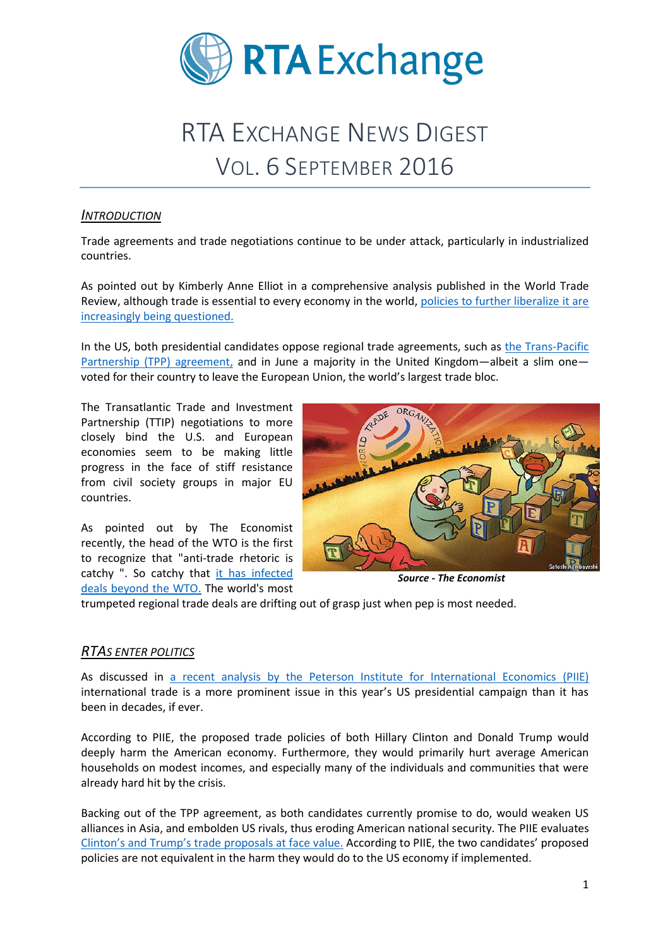

# RTA EXCHANGE NEWS DIGEST VOL. 6 SEPTEMBER 2016

#### *INTRODUCTION*

Trade agreements and trade negotiations continue to be under attack, particularly in industrialized countries.

As pointed out by Kimberly Anne Elliot in a comprehensive analysis published in the World Trade Review, although trade is essential to every economy in the world, [policies to further liberalize it are](http://www.worldpoliticsreview.com/articles/19828/liberalized-trade-is-under-attack-can-it-be-saved)  [increasingly being questioned.](http://www.worldpoliticsreview.com/articles/19828/liberalized-trade-is-under-attack-can-it-be-saved)

In the US, both presidential candidates oppose regional trade agreements, such as [the Trans-Pacific](https://ustr.gov/tpp/)  [Partnership \(TPP\) agreement,](https://ustr.gov/tpp/) and in June a majority in the United Kingdom—albeit a slim one voted for their country to leave the European Union, the world's largest trade bloc.

The Transatlantic Trade and Investment Partnership (TTIP) negotiations to more closely bind the U.S. and European economies seem to be making little progress in the face of stiff resistance from civil society groups in major EU countries.

As pointed out by The Economist recently, the head of the WTO is the first to recognize that "anti-trade rhetoric is catchy ". So catchy that [it has infected](http://www.economist.com/news/finance-and-economics/21707940-lacking-clear-american-leadership-global-trade-agenda-floundering-hard)  [deals beyond the WTO.](http://www.economist.com/news/finance-and-economics/21707940-lacking-clear-american-leadership-global-trade-agenda-floundering-hard) The world's most



*Source - The Economist*

trumpeted regional trade deals are drifting out of grasp just when pep is most needed.

#### *RTAS ENTER POLITICS*

As discussed in [a recent analysis by the Peterson Institute for International Economics \(PIIE\)](https://piie.com/system/files/documents/piieb16-6.pdf) international trade is a more prominent issue in this year's US presidential campaign than it has been in decades, if ever.

According to PIIE, the proposed trade policies of both Hillary Clinton and Donald Trump would deeply harm the American economy. Furthermore, they would primarily hurt average American households on modest incomes, and especially many of the individuals and communities that were already hard hit by the crisis.

Backing out of the TPP agreement, as both candidates currently promise to do, would weaken US alliances in Asia, and embolden US rivals, thus eroding American national security. The PIIE evaluates Clinton's and Trump's [trade proposals at face value.](https://piie.com/system/files/documents/piieb16-6.pdf) According to PIIE, the two candidates' proposed policies are not equivalent in the harm they would do to the US economy if implemented.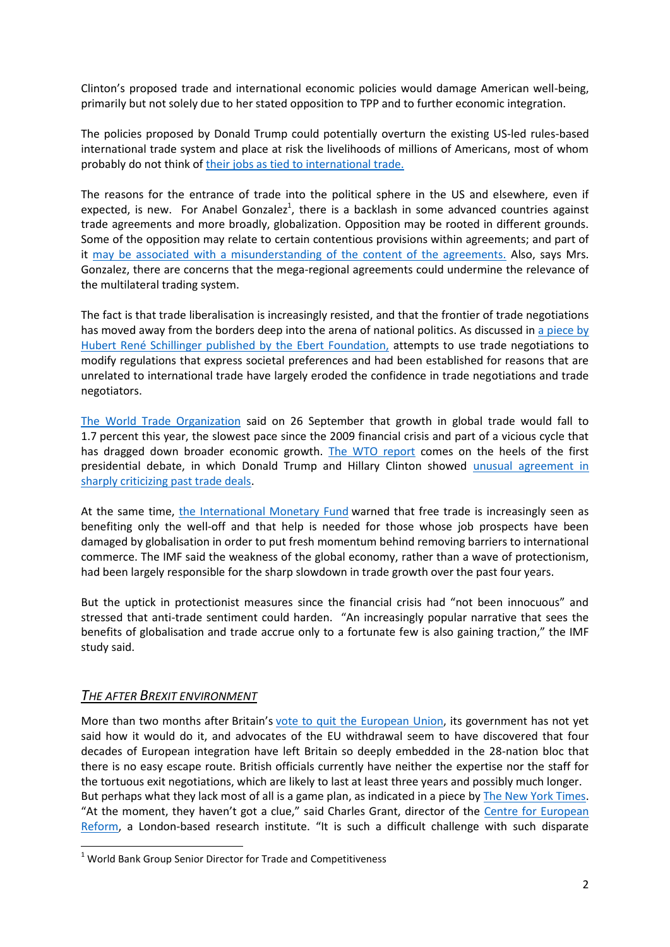Clinton's proposed trade and international economic policies would damage American well-being, primarily but not solely due to her stated opposition to TPP and to further economic integration.

The policies proposed by Donald Trump could potentially overturn the existing US-led rules-based international trade system and place at risk the livelihoods of millions of Americans, most of whom probably do not think of [their jobs as tied to international trade.](https://www.washingtonpost.com/news/post-politics/wp/2016/09/19/the-effect-of-trumps-trade-policies-trade-wars-with-china-mexico-that-could-cost-u-s-4-million-jobs-report-says/)

The reasons for the entrance of trade into the political sphere in the US and elsewhere, even if expected, is new. For Anabel Gonzalez<sup>1</sup>, there is a backlash in some advanced countries against trade agreements and more broadly, globalization. Opposition may be rooted in different grounds. Some of the opposition may relate to certain contentious provisions within agreements; and part of it [may be associated with a misunderstanding of the content of the agreements.](http://www.worldbank.org/en/news/opinion/2016/09/14/the-changing-trade-landscape-trade-agreements-globalization-and-inequality.print) Also, says Mrs. Gonzalez, there are concerns that the mega-regional agreements could undermine the relevance of the multilateral trading system.

The fact is that trade liberalisation is increasingly resisted, and that the frontier of trade negotiations has moved away from the borders deep into the arena of national politics. As discussed in [a piece by](http://library.fes.de/pdf-files/iez/global/12761.pdf)  [Hubert René Schillinger published by the Ebert Foundation,](http://library.fes.de/pdf-files/iez/global/12761.pdf) attempts to use trade negotiations to modify regulations that express societal preferences and had been established for reasons that are unrelated to international trade have largely eroded the confidence in trade negotiations and trade negotiators.

[The World Trade Organization](https://www.wto.org/) said on 26 September that growth in global trade would fall to 1.7 percent this year, the slowest pace since the 2009 financial crisis and part of a vicious cycle that has dragged down broader economic growth. [The WTO report](https://www.wto.org/english/res_e/booksp_e/world_trade_report16_e.pdf) comes on the heels of the first presidential debate, in which Donald Trump and Hillary Clinton showed [unusual agreement in](https://www.washingtonpost.com/news/wonk/wp/2016/09/27/globalization-driver-of-economic-growth-stalls-during-hostile-era/)  [sharply criticizing past trade deals.](https://www.washingtonpost.com/news/wonk/wp/2016/09/27/globalization-driver-of-economic-growth-stalls-during-hostile-era/)

At the same time, [the International Monetary Fund](https://www.theguardian.com/business/2016/sep/27/international-monetary-fund-world-economic-outlook-globalisation-free-trade) warned that free trade is increasingly seen as benefiting only the well-off and that help is needed for those whose job prospects have been damaged by globalisation in order to put fresh momentum behind removing barriers to international commerce. The IMF said the weakness of the global economy, rather than a wave of protectionism, had been largely responsible for the sharp slowdown in trade growth over the past four years.

But the uptick in protectionist measures since the financial crisis had "not been innocuous" and stressed that anti-trade sentiment could harden. "An increasingly popular narrative that sees the benefits of globalisation and trade accrue only to a fortunate few is also gaining traction," the IMF study said.

## *THE AFTER BREXIT ENVIRONMENT*

**.** 

More than two months after Britain's [vote to quit the European Union,](http://www.nytimes.com/2016/06/25/world/europe/britain-brexit-european-union-referendum.html) its government has not yet said how it would do it, and advocates of the EU withdrawal seem to have discovered that four decades of European integration have left Britain so deeply embedded in the 28-nation bloc that there is no easy escape route. British officials currently have neither the expertise nor the staff for the tortuous exit negotiations, which are likely to last at least three years and possibly much longer. But perhaps what they lack most of all is a game plan, as indicated in a piece by [The New York Times.](http://www.nytimes.com/2016/09/01/world/europe/britain-brexit-eu.html) "At the moment, they haven't got a clue," said Charles Grant, director of the Centre [for European](https://www.cer.org.uk/)  [Reform,](https://www.cer.org.uk/) a London-based research institute. "It is such a difficult challenge with such disparate

 $1$  World Bank Group Senior Director for Trade and Competitiveness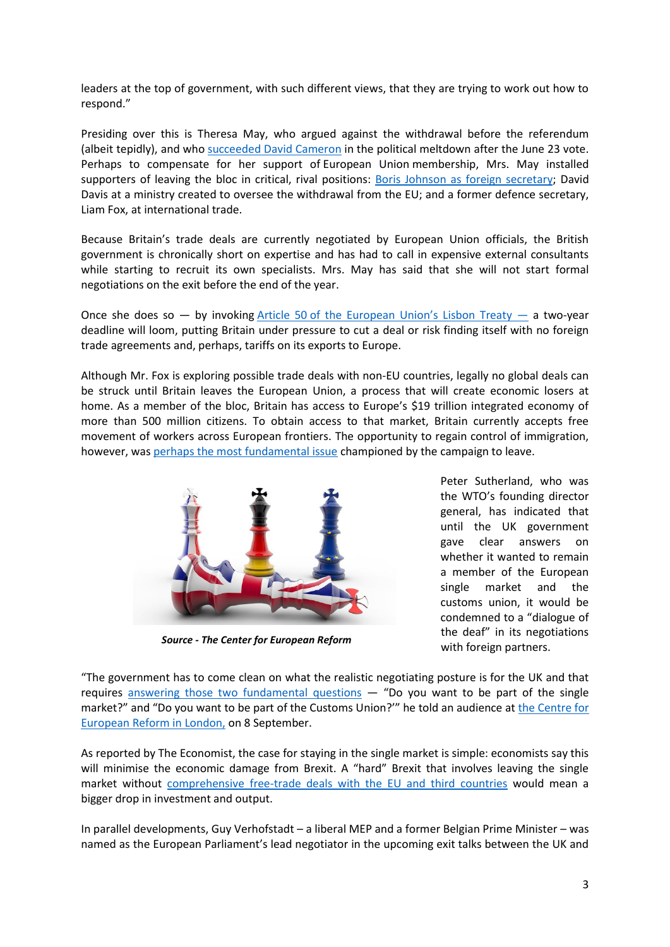leaders at the top of government, with such different views, that they are trying to work out how to respond."

Presiding over this is Theresa May, who argued against the withdrawal before the referendum (albeit tepidly), and who [succeeded David Cameron](http://www.nytimes.com/2016/07/12/world/europe/andrea-leadsom-theresa-may-britain.html) in the political meltdown after the June 23 vote. Perhaps to compensate for her support of European Union membership, Mrs. May installed supporters of leaving the bloc in critical, rival positions: [Boris Johnson as foreign secretary;](http://www.nytimes.com/2016/07/14/world/europe/david-cameron-theresa-may-prime-minister.html) David Davis at a ministry created to oversee the withdrawal from the EU; and a former defence secretary, Liam Fox, at international trade.

Because Britain's trade deals are currently negotiated by European Union officials, the British government is chronically short on expertise and has had to call in expensive external consultants while starting to recruit its own specialists. Mrs. May has said that she will not start formal negotiations on the exit before the end of the year.

Once she does so  $-$  by invoking Article 50 of the European Union's Lisbon Treaty  $-$  a two-year deadline will loom, putting Britain under pressure to cut a deal or risk finding itself with no foreign trade agreements and, perhaps, tariffs on its exports to Europe.

Although Mr. Fox is exploring possible trade deals with non-EU countries, legally no global deals can be struck until Britain leaves the European Union, a process that will create economic losers at home. As a member of the bloc, Britain has access to Europe's \$19 trillion integrated economy of more than 500 million citizens. To obtain access to that market, Britain currently accepts free movement of workers across European frontiers. The opportunity to regain control of immigration, however, was [perhaps the most fundamental issue](http://www.nytimes.com/2016/07/10/world/europe/brexit-immigrants-great-britain-eu.html) championed by the campaign to leave.



*Source - The Center for European Reform*

Peter Sutherland, who was the WTO's founding director general, has indicated that until the UK government gave clear answers on whether it wanted to remain a member of the European single market and the customs union, it would be condemned to a "dialogue of the deaf" in its negotiations with foreign partners.

"The government has to come clean on what the realistic negotiating posture is for the UK and that requires [answering those two fundamental](http://www.politico.eu/article/former-wto-boss-attacks-total-confusion-over-brexit-peter-sutherland-world-trade-organization-theresa-may/) questions  $-$  "Do you want to be part of the single market?" and "Do you want to be part of the Customs Union?'" he told an audience at [the Centre for](https://www.cer.org.uk/events/roundtable-brexit-challenge-future-international-trading-relationships-uk-nick-clegg-and)  [European Reform in London,](https://www.cer.org.uk/events/roundtable-brexit-challenge-future-international-trading-relationships-uk-nick-clegg-and) on 8 September.

As reported by The Economist, the case for staying in the single market is simple: economists say this will minimise the economic damage from Brexit. A "hard" Brexit that involves leaving the single market without [comprehensive free-trade deals with the EU and third countries](http://www.economist.com/news/britain/21706470-theresa-mays-ministers-are-carefully-avoiding-specific-answers-she-systematically?cid1=cust/ddnew/n/n/n/2016097n/owned/n/n/nwl/n/n/E/email&etear=dailydispatch) would mean a bigger drop in investment and output.

In parallel developments, Guy Verhofstadt – a liberal MEP and a former Belgian Prime Minister – was named as the European Parliament's lead negotiator in the upcoming exit talks between the UK and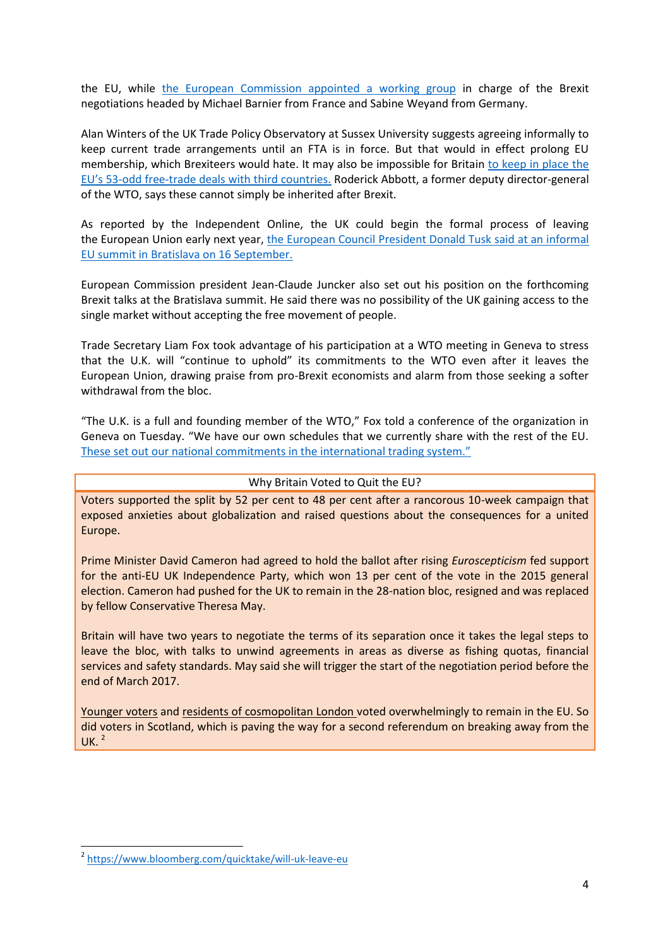the EU, while [the European Commission appointed](http://openeurope.org.uk/today/blog/guy-verhofstadt-european-parliaments-top-brexit-negotiator-mean/) a working group in charge of the Brexit negotiations headed by Michael Barnier from France and Sabine Weyand from Germany.

Alan Winters of the UK Trade Policy Observatory at Sussex University suggests agreeing informally to keep current trade arrangements until an FTA is in force. But that would in effect prolong EU membership, which Brexiteers would hate. It may also be impossible for Britain [to keep in place the](http://www.economist.com/news/britain/21707251-britain-will-not-find-it-easy-strike-comprehensive-trade-deals-quickly-not-so-simple)  EU's 53[-odd free-trade deals with third countries.](http://www.economist.com/news/britain/21707251-britain-will-not-find-it-easy-strike-comprehensive-trade-deals-quickly-not-so-simple) Roderick Abbott, a former deputy director-general of the WTO, says these cannot simply be inherited after Brexit.

As reported by the Independent Online, the UK could begin the formal process of leaving the European Union early next year, [the European Council President Donald Tusk said at an informal](http://www.independent.co.uk/news/uk/politics/brexit-article-50-to-be-triggered-early-next-year-a7312371.html)  [EU summit in Bratislava](http://www.independent.co.uk/news/uk/politics/brexit-article-50-to-be-triggered-early-next-year-a7312371.html) on 16 September.

European Commission president Jean-Claude Juncker also set out his position on the forthcoming Brexit talks at the Bratislava summit. He said there was no possibility of the UK gaining access to the single market without accepting the free movement of people.

Trade Secretary Liam Fox took advantage of his participation at a WTO meeting in Geneva to stress that the U.K. will "continue to uphold" its commitments to the WTO even after it leaves the European Union, drawing praise from pro-Brexit economists and alarm from those seeking a softer withdrawal from the bloc.

"The U.K. is a full and founding member of the WTO," Fox told a conference of the organization in Geneva on Tuesday. "We have our own schedules that we currently share with the rest of the EU. [These set out our national commitments in the international trading system."](http://www.bloomberg.com/news/articles/2016-09-27/fox-says-u-k-will-uphold-wto-commitments-after-brexit-occurs)

#### Why Britain Voted to Quit the EU?

Voters supported the split by 52 per cent to 48 per cent after a rancorous 10-week campaign that exposed anxieties about globalization and raised questions about the consequences for a united Europe.

Prime Minister David Cameron had agreed to hold the ballot after rising *Euroscepticism* fed support for the anti-EU UK Independence Party, which won 13 per cent of the vote in the 2015 general election. Cameron had pushed for the UK to remain in the 28-nation bloc, resigned and was replaced by fellow Conservative Theresa May.

Britain will have two years to negotiate the terms of its separation once it takes the legal steps to leave the bloc, with talks to unwind agreements in areas as diverse as fishing quotas, financial services and safety standards. May said she will trigger the start of the negotiation period before the end of March 2017.

Younger voters and residents of cosmopolitan London voted overwhelmingly to remain in the EU. So did voters in Scotland, which is paving the way for a second referendum on breaking away from the UK. $^2$ 

**.** 

<sup>2</sup> <https://www.bloomberg.com/quicktake/will-uk-leave-eu>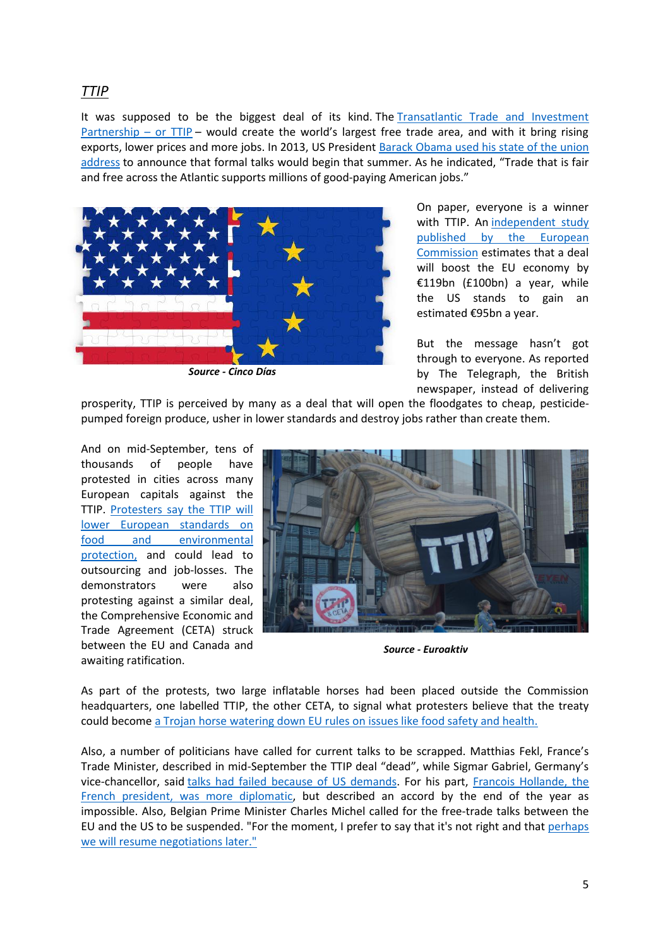## *TTIP*

It was supposed to be the biggest deal of its kind. The [Transatlantic Trade and Investment](http://www.telegraph.co.uk/business/2016/05/05/what-is-ttip-and-how-is-it-supposed-to-make-us-better-off/)  [Partnership](http://www.telegraph.co.uk/business/2016/05/05/what-is-ttip-and-how-is-it-supposed-to-make-us-better-off/) – or  $TTP$  – would create the world's largest free trade area, and with it bring rising exports, lower prices and more jobs. In 2013, US President Barack [Obama used his state of the union](https://www.whitehouse.gov/the-press-office/2013/02/12/remarks-president-state-union-address)  [address](https://www.whitehouse.gov/the-press-office/2013/02/12/remarks-president-state-union-address) to announce that formal talks would begin that summer. As he indicated, "Trade that is fair and free across the Atlantic supports millions of good-paying American jobs."



*Source - Cinco Días*

On paper, everyone is a winner with TTIP. An independent study [published by the European](http://trade.ec.europa.eu/doclib/docs/2013/may/tradoc_151351.pdf)  [Commission](http://trade.ec.europa.eu/doclib/docs/2013/may/tradoc_151351.pdf) estimates that a deal will boost the EU economy by €119bn (£100bn) a year, while the US stands to gain an estimated €95bn a year.

But the message hasn't got through to everyone. As reported by The Telegraph, the British newspaper, instead of delivering

prosperity, TTIP is perceived by many as a deal that will open the floodgates to cheap, pesticidepumped foreign produce, usher in lower standards and destroy jobs rather than create them.

And on mid-September, tens of thousands of people have protested in cities across many European capitals against the TTIP. [Protesters say the TTIP will](http://www.bbc.com/news/world-europe-37396796)  [lower European standards on](http://www.bbc.com/news/world-europe-37396796)  [food and environmental](http://www.bbc.com/news/world-europe-37396796)  [protection,](http://www.bbc.com/news/world-europe-37396796) and could lead to outsourcing and job-losses. The demonstrators were also protesting against a similar deal, the Comprehensive Economic and Trade Agreement (CETA) struck between the EU and Canada and awaiting ratification.



*Source - Euroaktiv*

As part of the protests, two large inflatable horses had been placed outside the Commission headquarters, one labelled TTIP, the other CETA, to signal what protesters believe that the treaty could become a Trojan horse [watering down EU rules on issues like food safety and health.](https://euobserver.com/economic/130705)

Also, a number of politicians have called for current talks to be scrapped. Matthias Fekl, France's Trade Minister, described in mid-September the TTIP deal "dead", while Sigmar Gabriel, Germany's vice-chancellor, said [talks had failed because of US demands.](http://www.telegraph.co.uk/business/2016/08/28/eus-ttip-trade-deal-with-the-us-has-collapsed-says-germany/) For his part, [Francois Hollande, the](http://www.telegraph.co.uk/business/2016/08/30/hollande-casts-doubt-on-eu-us-trade-deal-as-french-trade-ministe/) [French president, was more diplomatic,](http://www.telegraph.co.uk/business/2016/08/30/hollande-casts-doubt-on-eu-us-trade-deal-as-french-trade-ministe/) but described an accord by the end of the year as impossible. Also, Belgian Prime Minister Charles Michel called for the free-trade talks between the EU and the US to be suspended. "For the moment, I prefer to say that it's not right and that [perhaps](https://euobserver.com/tickers/134903)  we [will resume negotiations later."](https://euobserver.com/tickers/134903)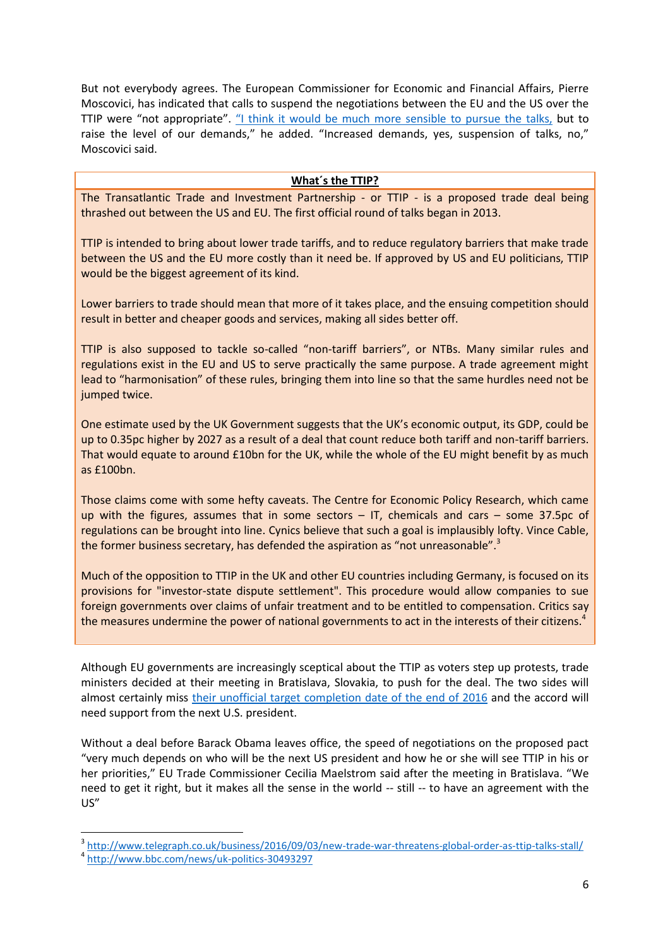But not everybody agrees. The European Commissioner for Economic and Financial Affairs, Pierre Moscovici, has indicated that calls to suspend the negotiations between the EU and the US over the TTIP were "not appropriate". ["I think it would be much more sensible](https://www.euractiv.com/section/trade-society/news/moscovici-it-is-not-appropriate-to-suspend-ttip-talks/) to pursue the talks, but to raise the level of our demands," he added. "Increased demands, yes, suspension of talks, no," Moscovici said.

#### **What´s the TTIP?**

The Transatlantic Trade and Investment Partnership - or TTIP - is a proposed trade deal being thrashed out between the US and EU. The first official round of talks began in 2013.

TTIP is intended to bring about lower trade tariffs, and to reduce regulatory barriers that make trade between the US and the EU more costly than it need be. If approved by US and EU politicians, TTIP would be the biggest agreement of its kind.

Lower barriers to trade should mean that more of it takes place, and the ensuing competition should result in better and cheaper goods and services, making all sides better off.

TTIP is also supposed to tackle so-called "non-tariff barriers", or NTBs. Many similar rules and regulations exist in the EU and US to serve practically the same purpose. A trade agreement might lead to "harmonisation" of these rules, bringing them into line so that the same hurdles need not be jumped twice.

One estimate used by the UK Government suggests that the UK's economic output, its GDP, could be up to 0.35pc higher by 2027 as a result of a deal that count reduce both tariff and non-tariff barriers. That would equate to around £10bn for the UK, while the whole of the EU might benefit by as much as £100bn.

Those claims come with some hefty caveats. The Centre for Economic Policy Research, which came up with the figures, assumes that in some sectors – IT, chemicals and cars – some 37.5pc of regulations can be brought into line. Cynics believe that such a goal is implausibly lofty. Vince Cable, the former business secretary, has defended the aspiration as "not unreasonable".<sup>3</sup>

Much of the opposition to TTIP in the UK and other EU countries including Germany, is focused on its provisions for "investor-state dispute settlement". This procedure would allow companies to sue foreign governments over claims of unfair treatment and to be entitled to compensation. Critics say the measures undermine the power of national governments to act in the interests of their citizens.<sup>4</sup>

Although EU governments are increasingly sceptical about the TTIP as voters step up protests, trade ministers decided at their meeting in Bratislava, Slovakia, to push for the deal. The two sides will almost certainly miss [their unofficial target completion date of](http://www.bloomberg.com/news/articles/2016-09-23/faltering-ttip-not-dead-yet-as-eu-looks-for-deal-beyond-obama) the end of 2016 and the accord will need support from the next U.S. president.

Without a deal before Barack Obama leaves office, the speed of negotiations on the proposed pact "very much depends on who will be the next US president and how he or she will see TTIP in his or her priorities," EU Trade Commissioner Cecilia Maelstrom said after the meeting in Bratislava. "We need to get it right, but it makes all the sense in the world -- still -- to have an agreement with the US"

**.** 

<sup>&</sup>lt;sup>3</sup> <http://www.telegraph.co.uk/business/2016/09/03/new-trade-war-threatens-global-order-as-ttip-talks-stall/>

<sup>4</sup> <http://www.bbc.com/news/uk-politics-30493297>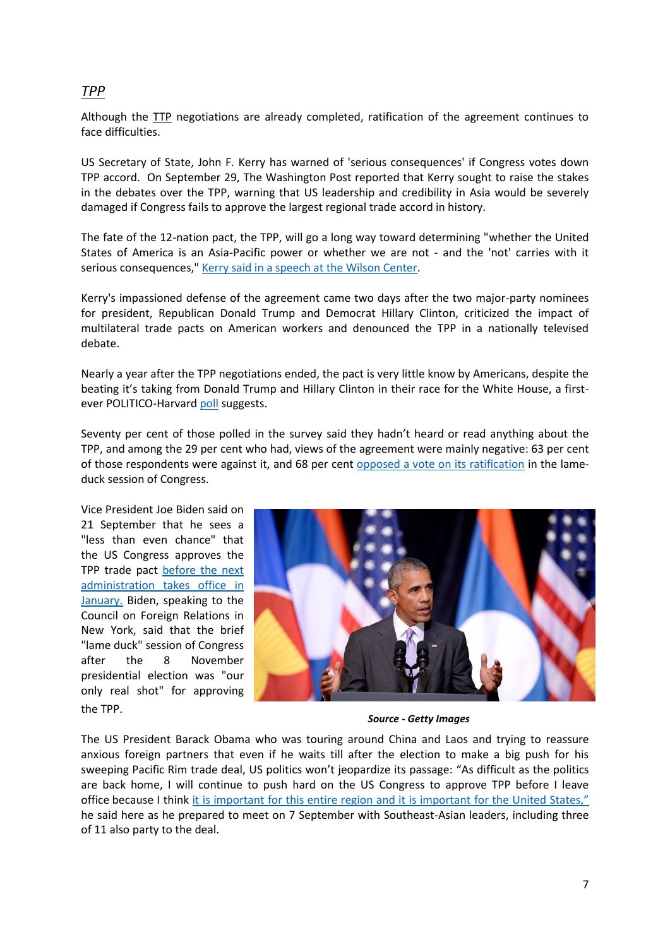## *TPP*

Although the TTP negotiations are already completed, ratification of the agreement continues to face difficulties.

US Secretary of State, John F. Kerry has warned of 'serious consequences' if Congress votes down TPP accord. On September 29, The Washington Post reported that Kerry sought to raise the stakes in the debates over the TPP, warning that US leadership and credibility in Asia would be severely damaged if Congress fails to approve the largest regional trade accord in history.

The fate of the 12-nation pact, the TPP, will go a long way toward determining "whether the United States of America is an Asia-Pacific power or whether we are not - and the 'not' carries with it serious consequences," [Kerry said in a speech at the Wilson Center.](http://www.state.gov/secretary/remarks/2016/09/262551.htm)

Kerry's impassioned defense of the agreement came two days after the two major-party nominees for president, Republican Donald Trump and Democrat Hillary Clinton, criticized the impact of multilateral trade pacts on American workers and denounced the TPP in a nationally televised debate.

Nearly a year after the TPP negotiations ended, the pact is very little know by Americans, despite the beating it's taking from Donald Trump and Hillary Clinton in their race for the White House, a firstever POLITICO-Harvard [poll](http://www.politico.com/f/?id=00000157-58ef-d502-ad5f-dbef0b4f0000) suggests.

Seventy per cent of those polled in the survey said they hadn't heard or read anything about the TPP, and among the 29 per cent who had, views of the agreement were mainly negative: 63 per cent of those respondents were against it, and 68 per cent [opposed a vote on its ratification](http://www.politico.com/story/2016/09/americans-say-tpp-who-228598#ixzz4LjaZLkpB) in the lameduck session of Congress.

Vice President Joe Biden said on 21 September that he sees a "less than even chance" that the US Congress approves the TPP trade pact [before the next](http://in.reuters.com/article/us-usa-trade-biden-idINKCN11S03W)  [administration takes office in](http://in.reuters.com/article/us-usa-trade-biden-idINKCN11S03W)  [January.](http://in.reuters.com/article/us-usa-trade-biden-idINKCN11S03W) Biden, speaking to the Council on Foreign Relations in New York, said that the brief "lame duck" session of Congress after the 8 November presidential election was "our only real shot" for approving the TPP.



*Source - Getty Images*

The US President Barack Obama who was touring around China and Laos and trying to reassure anxious foreign partners that even if he waits till after the election to make a big push for his sweeping Pacific Rim trade deal, US politics won't jeopardize its passage: "As difficult as the politics are back home, I will continue to push hard on the US Congress to approve TPP before I leave office because I think [it is important for this entire region and it is important](http://www.latimes.com/business/la-fi-obama-trade-pact-20160906-snap-story.html?utm_campaign=John+L.+Thornton+China+Center&utm_source=hs_email&utm_medium=email&utm_content=34983507) for the United States," he said here as he prepared to meet on 7 September with Southeast-Asian leaders, including three of 11 also party to the deal.